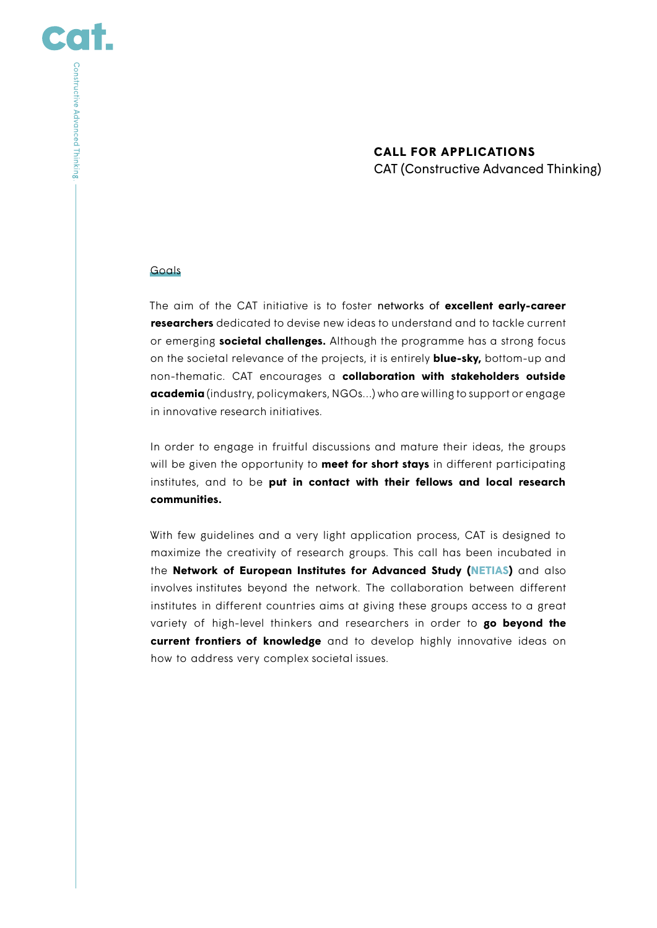# **CALL FOR APPLICATIONS** CAT (Constructive Advanced Thinking)

#### Goals

CO

Constructive Advanced Thinking.

The aim of the CAT initiative is to foster networks of **excellent early-career researchers** dedicated to devise new ideas to understand and to tackle current or emerging **societal challenges.** Although the programme has a strong focus on the societal relevance of the projects, it is entirely **blue-sky,** bottom-up and non-thematic. CAT encourages a **collaboration with stakeholders outside academia** (industry, policymakers, NGOs…) who are willing to support or engage in innovative research initiatives.

In order to engage in fruitful discussions and mature their ideas, the groups will be given the opportunity to **meet for short stays** in different participating institutes, and to be **put in contact with their fellows and local research communities.**

With few guidelines and a very light application process, CAT is designed to maximize the creativity of research groups. This call has been incubated in the **Network of European Institutes for Advanced Study [\(NETIAS\)](http://netias.science/project_constructive-advanced-thinking)** and also involves institutes beyond the network. The collaboration between different institutes in different countries aims at giving these groups access to a great variety of high-level thinkers and researchers in order to **go beyond the current frontiers of knowledge** and to develop highly innovative ideas on how to address very complex societal issues.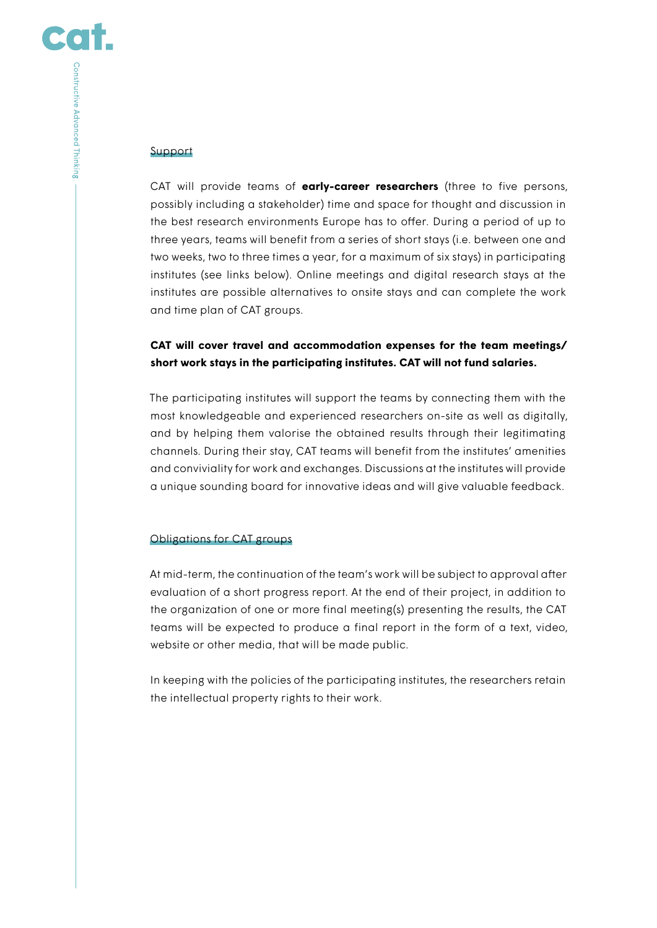CO

## Support

CAT will provide teams of **early-career researchers** (three to five persons, possibly including a stakeholder) time and space for thought and discussion in the best research environments Europe has to offer. During a period of up to three years, teams will benefit from a series of short stays (i.e. between one and two weeks, two to three times a year, for a maximum of six stays) in participating institutes (see links below). Online meetings and digital research stays at the institutes are possible alternatives to onsite stays and can complete the work and time plan of CAT groups.

# **CAT will cover travel and accommodation expenses for the team meetings/ short work stays in the participating institutes. CAT will not fund salaries.**

The participating institutes will support the teams by connecting them with the most knowledgeable and experienced researchers on-site as well as digitally, and by helping them valorise the obtained results through their legitimating channels. During their stay, CAT teams will benefit from the institutes' amenities and conviviality for work and exchanges. Discussions at the institutes will provide a unique sounding board for innovative ideas and will give valuable feedback.

# Obligations for CAT groups

At mid-term, the continuation of the team's work will be subject to approval after evaluation of a short progress report. At the end of their project, in addition to the organization of one or more final meeting(s) presenting the results, the CAT teams will be expected to produce a final report in the form of a text, video, website or other media, that will be made public.

In keeping with the policies of the participating institutes, the researchers retain the intellectual property rights to their work.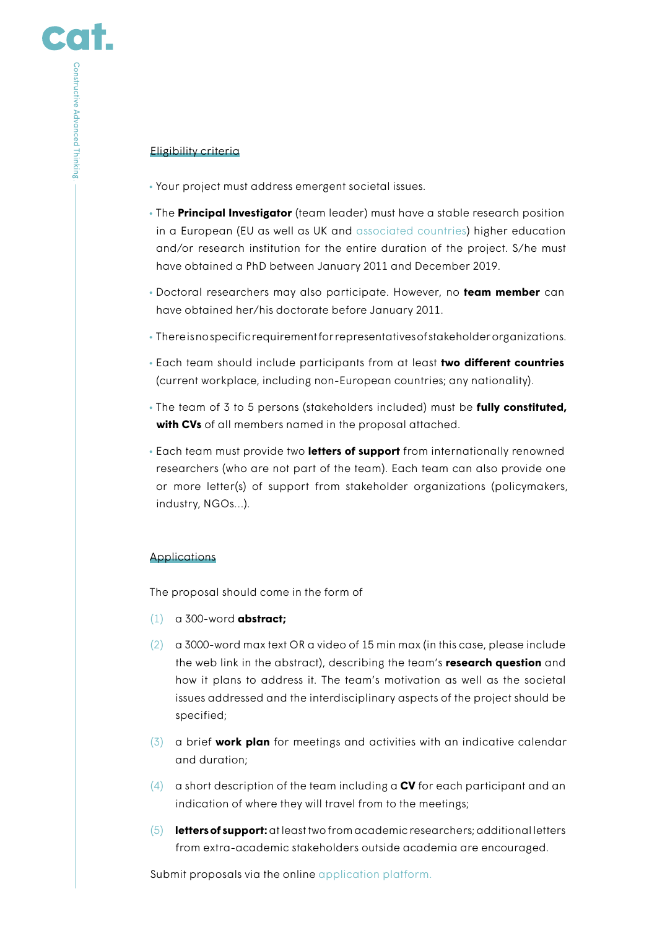# Eligibility criteria

- Your project must address emergent societal issues.
- The **Principal Investigator** (team leader) must have a stable research position in a European (EU as well as UK and [associated countries\)](https://ec.europa.eu/research/participants/data/ref/h2020/grants_manual/hi/3cpart/h2020-hi-list-ac_en.pdf) higher education and/or research institution for the entire duration of the project. S/he must have obtained a PhD between January 2011 and December 2019.
- Doctoral researchers may also participate. However, no **team member** can have obtained her/his doctorate before January 2011.
- There is no specific requirement for representatives of stakeholder organizations.
- Each team should include participants from at least **two different countries** (current workplace, including non-European countries; any nationality).
- The team of 3 to 5 persons (stakeholders included) must be **fully constituted, with CVs** of all members named in the proposal attached.
- Each team must provide two **letters of support** from internationally renowned researchers (who are not part of the team). Each team can also provide one or more letter(s) of support from stakeholder organizations (policymakers, industry, NGOs…).

# Applications

The proposal should come in the form of

- (1) a 300-word **abstract;**
- (2) a 3000-word max text OR a video of 15 min max (in this case, please include the web link in the abstract), describing the team's **research question** and how it plans to address it. The team's motivation as well as the societal issues addressed and the interdisciplinary aspects of the project should be specified;
- (3) a brief **work plan** for meetings and activities with an indicative calendar and duration;
- (4) a short description of the team including a **CV** for each participant and an indication of where they will travel from to the meetings;
- (5) **letters of support:** at least two from academic researchers; additional letters from extra-academic stakeholders outside academia are encouraged.

Submit proposals via the online [application platform.](https://stellen.uni-konstanz.de/jobposting/1f1bed7988ed14b395780bbeaf0f387894e617c40)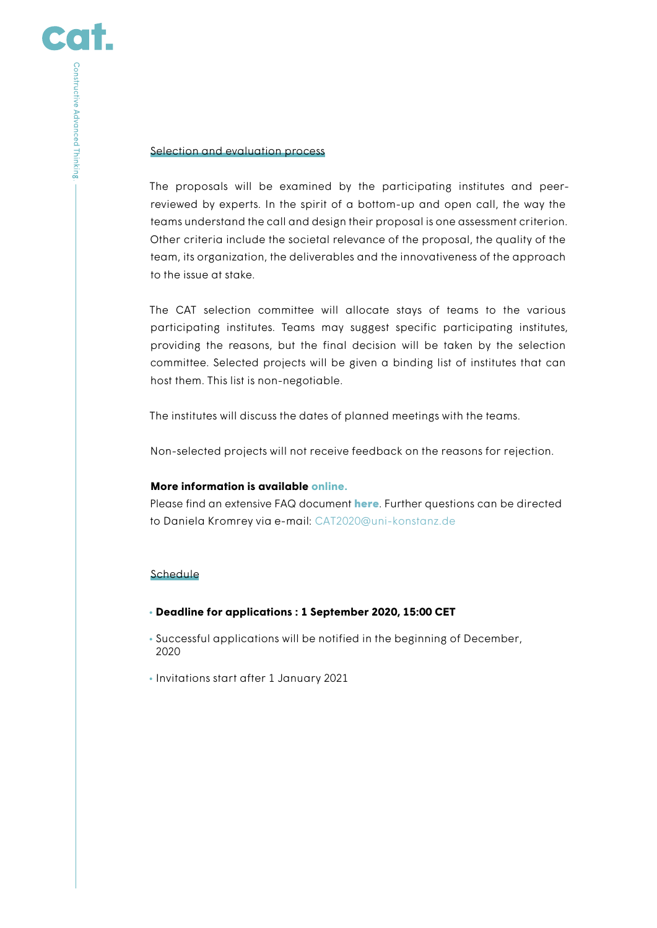### Selection and evaluation process

The proposals will be examined by the participating institutes and peerreviewed by experts. In the spirit of a bottom-up and open call, the way the teams understand the call and design their proposal is one assessment criterion. Other criteria include the societal relevance of the proposal, the quality of the team, its organization, the deliverables and the innovativeness of the approach to the issue at stake.

The CAT selection committee will allocate stays of teams to the various participating institutes. Teams may suggest specific participating institutes, providing the reasons, but the final decision will be taken by the selection committee. Selected projects will be given a binding list of institutes that can host them. This list is non-negotiable.

The institutes will discuss the dates of planned meetings with the teams.

Non-selected projects will not receive feedback on the reasons for rejection.

### **More information is available [online.](https://www.uni-konstanz.de/zukunftskolleg/about-zukunftskolleg/cooperations/constructive-advanced-thinking-cat/)**

Please find an extensive FAQ document [here](https://www.uni-konstanz.de/typo3temp/secure_downloads/111481/0/8b48cca2d1722cfbc9d619e4c8923dd410c6cf83/CAT2020_FAQ.pdf). Further questions can be directed to Daniela Kromrey via e-mail: CAT2020@uni-konstanz.de

# Schedule

- **Deadline for applications : 1 September 2020, 15:00 CET**
- Successful applications will be notified in the beginning of December, 2020
- Invitations start after 1 January 2021